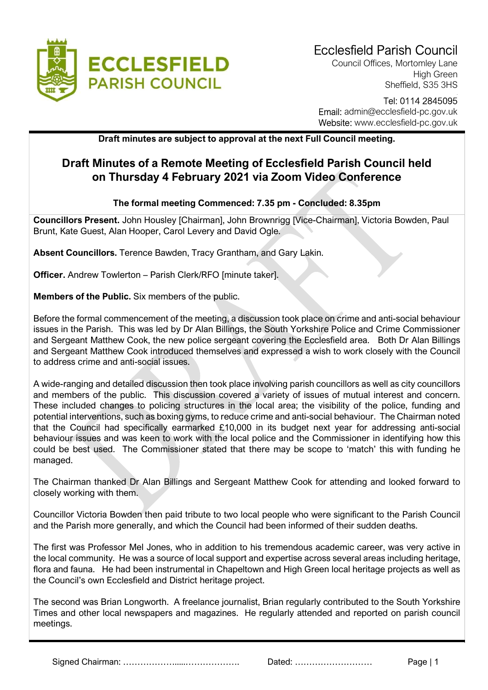

Council Offices, Mortomley Lane High Green Sheffield, S35 3HS

## Tel: 0114 2845095 Email: admin@ecclesfield-pc.gov.uk Website: www.ecclesfield-pc.gov.uk

Draft minutes are subject to approval at the next Full Council meeting.

## Draft Minutes of a Remote Meeting of Ecclesfield Parish Council held on Thursday 4 February 2021 via Zoom Video Conference

## The formal meeting Commenced: 7.35 pm - Concluded: 8.35pm

Councillors Present. John Housley [Chairman], John Brownrigg [Vice-Chairman], Victoria Bowden, Paul Brunt, Kate Guest, Alan Hooper, Carol Levery and David Ogle.

Absent Councillors. Terence Bawden, Tracy Grantham, and Gary Lakin.

Officer. Andrew Towlerton – Parish Clerk/RFO [minute taker].

Members of the Public. Six members of the public.

Before the formal commencement of the meeting, a discussion took place on crime and anti-social behaviour issues in the Parish. This was led by Dr Alan Billings, the South Yorkshire Police and Crime Commissioner and Sergeant Matthew Cook, the new police sergeant covering the Ecclesfield area. Both Dr Alan Billings and Sergeant Matthew Cook introduced themselves and expressed a wish to work closely with the Council to address crime and anti-social issues.

A wide-ranging and detailed discussion then took place involving parish councillors as well as city councillors and members of the public. This discussion covered a variety of issues of mutual interest and concern. These included changes to policing structures in the local area; the visibility of the police, funding and potential interventions, such as boxing gyms, to reduce crime and anti-social behaviour. The Chairman noted that the Council had specifically earmarked £10,000 in its budget next year for addressing anti-social behaviour issues and was keen to work with the local police and the Commissioner in identifying how this could be best used. The Commissioner stated that there may be scope to 'match' this with funding he managed.

The Chairman thanked Dr Alan Billings and Sergeant Matthew Cook for attending and looked forward to closely working with them.

Councillor Victoria Bowden then paid tribute to two local people who were significant to the Parish Council and the Parish more generally, and which the Council had been informed of their sudden deaths.

The first was Professor Mel Jones, who in addition to his tremendous academic career, was very active in the local community. He was a source of local support and expertise across several areas including heritage, flora and fauna. He had been instrumental in Chapeltown and High Green local heritage projects as well as the Council's own Ecclesfield and District heritage project.

The second was Brian Longworth. A freelance journalist, Brian regularly contributed to the South Yorkshire Times and other local newspapers and magazines. He regularly attended and reported on parish council meetings.

Signed Chairman: ……………….....………………. Dated: ……………………… Page | 1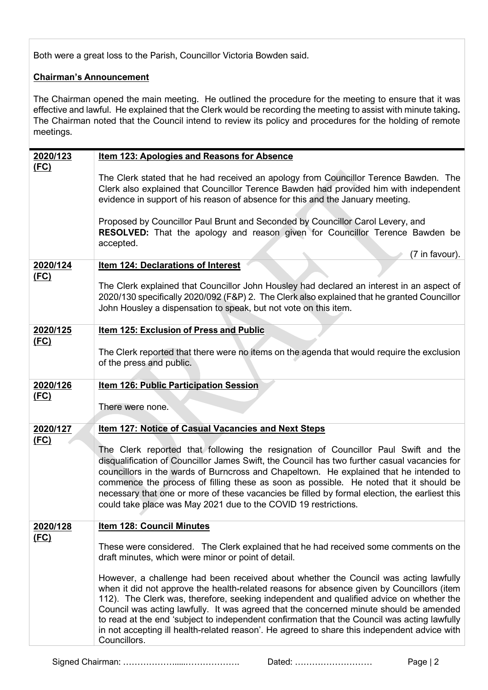Both were a great loss to the Parish, Councillor Victoria Bowden said.

## Chairman's Announcement

The Chairman opened the main meeting. He outlined the procedure for the meeting to ensure that it was effective and lawful. He explained that the Clerk would be recording the meeting to assist with minute taking. The Chairman noted that the Council intend to review its policy and procedures for the holding of remote meetings.

| 2020/123    | <b>Item 123: Apologies and Reasons for Absence</b>                                                                                                                                                                                                                                                                                                                                                                                                                                                                                                                                     |
|-------------|----------------------------------------------------------------------------------------------------------------------------------------------------------------------------------------------------------------------------------------------------------------------------------------------------------------------------------------------------------------------------------------------------------------------------------------------------------------------------------------------------------------------------------------------------------------------------------------|
| (FC)        | The Clerk stated that he had received an apology from Councillor Terence Bawden. The<br>Clerk also explained that Councillor Terence Bawden had provided him with independent<br>evidence in support of his reason of absence for this and the January meeting.                                                                                                                                                                                                                                                                                                                        |
|             | Proposed by Councillor Paul Brunt and Seconded by Councillor Carol Levery, and<br>RESOLVED: That the apology and reason given for Councillor Terence Bawden be<br>accepted.<br>(7 in favour).                                                                                                                                                                                                                                                                                                                                                                                          |
| 2020/124    | Item 124: Declarations of Interest                                                                                                                                                                                                                                                                                                                                                                                                                                                                                                                                                     |
| (FC)        | The Clerk explained that Councillor John Housley had declared an interest in an aspect of<br>2020/130 specifically 2020/092 (F&P) 2. The Clerk also explained that he granted Councillor<br>John Housley a dispensation to speak, but not vote on this item.                                                                                                                                                                                                                                                                                                                           |
| 2020/125    | Item 125: Exclusion of Press and Public                                                                                                                                                                                                                                                                                                                                                                                                                                                                                                                                                |
| <u>(FC)</u> | The Clerk reported that there were no items on the agenda that would require the exclusion<br>of the press and public.                                                                                                                                                                                                                                                                                                                                                                                                                                                                 |
| 2020/126    | <b>Item 126: Public Participation Session</b>                                                                                                                                                                                                                                                                                                                                                                                                                                                                                                                                          |
| (FC)        | There were none.                                                                                                                                                                                                                                                                                                                                                                                                                                                                                                                                                                       |
| 2020/127    | Item 127: Notice of Casual Vacancies and Next Steps                                                                                                                                                                                                                                                                                                                                                                                                                                                                                                                                    |
| (FC)        | The Clerk reported that following the resignation of Councillor Paul Swift and the<br>disqualification of Councillor James Swift, the Council has two further casual vacancies for<br>councillors in the wards of Burncross and Chapeltown. He explained that he intended to<br>commence the process of filling these as soon as possible. He noted that it should be<br>necessary that one or more of these vacancies be filled by formal election, the earliest this<br>could take place was May 2021 due to the COVID 19 restrictions.                                              |
| 2020/128    | <b>Item 128: Council Minutes</b>                                                                                                                                                                                                                                                                                                                                                                                                                                                                                                                                                       |
| <u>(FC)</u> | These were considered. The Clerk explained that he had received some comments on the<br>draft minutes, which were minor or point of detail.                                                                                                                                                                                                                                                                                                                                                                                                                                            |
|             | However, a challenge had been received about whether the Council was acting lawfully<br>when it did not approve the health-related reasons for absence given by Councillors (item<br>112). The Clerk was, therefore, seeking independent and qualified advice on whether the<br>Council was acting lawfully. It was agreed that the concerned minute should be amended<br>to read at the end 'subject to independent confirmation that the Council was acting lawfully<br>in not accepting ill health-related reason'. He agreed to share this independent advice with<br>Councillors. |

Signed Chairman: ……………….....………………. Dated: ……………………… Page | 2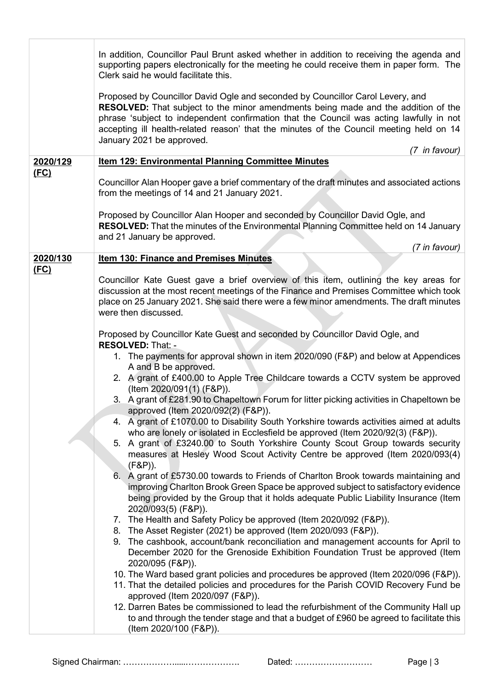|             | In addition, Councillor Paul Brunt asked whether in addition to receiving the agenda and<br>supporting papers electronically for the meeting he could receive them in paper form. The<br>Clerk said he would facilitate this.                                                                                                                                                                                  |
|-------------|----------------------------------------------------------------------------------------------------------------------------------------------------------------------------------------------------------------------------------------------------------------------------------------------------------------------------------------------------------------------------------------------------------------|
|             | Proposed by Councillor David Ogle and seconded by Councillor Carol Levery, and<br><b>RESOLVED:</b> That subject to the minor amendments being made and the addition of the<br>phrase 'subject to independent confirmation that the Council was acting lawfully in not<br>accepting ill health-related reason' that the minutes of the Council meeting held on 14<br>January 2021 be approved.<br>(7 in favour) |
| 2020/129    | <b>Item 129: Environmental Planning Committee Minutes</b>                                                                                                                                                                                                                                                                                                                                                      |
| <u>(FC)</u> | Councillor Alan Hooper gave a brief commentary of the draft minutes and associated actions<br>from the meetings of 14 and 21 January 2021.                                                                                                                                                                                                                                                                     |
|             | Proposed by Councillor Alan Hooper and seconded by Councillor David Ogle, and<br>RESOLVED: That the minutes of the Environmental Planning Committee held on 14 January<br>and 21 January be approved.                                                                                                                                                                                                          |
|             | (7 in favour)                                                                                                                                                                                                                                                                                                                                                                                                  |
| 2020/130    | <b>Item 130: Finance and Premises Minutes</b>                                                                                                                                                                                                                                                                                                                                                                  |
| (FC)        | Councillor Kate Guest gave a brief overview of this item, outlining the key areas for<br>discussion at the most recent meetings of the Finance and Premises Committee which took<br>place on 25 January 2021. She said there were a few minor amendments. The draft minutes<br>were then discussed.                                                                                                            |
|             | Proposed by Councillor Kate Guest and seconded by Councillor David Ogle, and<br>RESOLVED: That: -                                                                                                                                                                                                                                                                                                              |
|             | 1. The payments for approval shown in item 2020/090 (F&P) and below at Appendices<br>A and B be approved.                                                                                                                                                                                                                                                                                                      |
|             | 2. A grant of £400.00 to Apple Tree Childcare towards a CCTV system be approved<br>(Item 2020/091(1) (F&P)).                                                                                                                                                                                                                                                                                                   |
|             | 3. A grant of £281.90 to Chapeltown Forum for litter picking activities in Chapeltown be<br>approved (Item 2020/092(2) (F&P)).                                                                                                                                                                                                                                                                                 |
|             | 4. A grant of £1070.00 to Disability South Yorkshire towards activities aimed at adults<br>who are lonely or isolated in Ecclesfield be approved (Item 2020/92(3) (F&P)).                                                                                                                                                                                                                                      |
|             | 5. A grant of £3240.00 to South Yorkshire County Scout Group towards security<br>measures at Hesley Wood Scout Activity Centre be approved (Item 2020/093(4)<br>$(F&P)$ ).                                                                                                                                                                                                                                     |
|             | A grant of £5730.00 towards to Friends of Charlton Brook towards maintaining and<br>6.<br>improving Charlton Brook Green Space be approved subject to satisfactory evidence<br>being provided by the Group that it holds adequate Public Liability Insurance (Item                                                                                                                                             |
|             | 2020/093(5) (F&P)).                                                                                                                                                                                                                                                                                                                                                                                            |
|             | 7. The Health and Safety Policy be approved (Item 2020/092 (F&P)).                                                                                                                                                                                                                                                                                                                                             |
|             | 8. The Asset Register (2021) be approved (Item 2020/093 (F&P)).                                                                                                                                                                                                                                                                                                                                                |
|             | 9. The cashbook, account/bank reconciliation and management accounts for April to<br>December 2020 for the Grenoside Exhibition Foundation Trust be approved (Item<br>2020/095 (F&P)).                                                                                                                                                                                                                         |
|             | 10. The Ward based grant policies and procedures be approved (Item 2020/096 (F&P)).                                                                                                                                                                                                                                                                                                                            |
|             | 11. That the detailed policies and procedures for the Parish COVID Recovery Fund be<br>approved (Item 2020/097 (F&P)).                                                                                                                                                                                                                                                                                         |
|             | 12. Darren Bates be commissioned to lead the refurbishment of the Community Hall up<br>to and through the tender stage and that a budget of £960 be agreed to facilitate this<br>(Item 2020/100 (F&P)).                                                                                                                                                                                                        |
|             |                                                                                                                                                                                                                                                                                                                                                                                                                |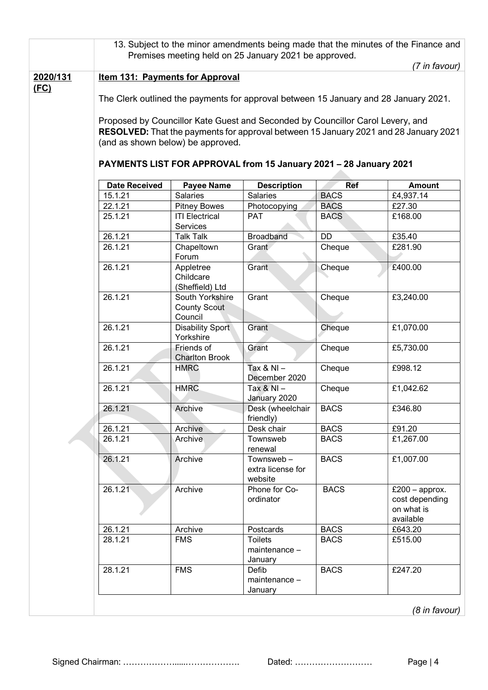|                  | 13. Subject to the minor amendments being made that the minutes of the Finance and                                                                                                                                                                                                                       |                                                   |                                            |             |                                                               |  |
|------------------|----------------------------------------------------------------------------------------------------------------------------------------------------------------------------------------------------------------------------------------------------------------------------------------------------------|---------------------------------------------------|--------------------------------------------|-------------|---------------------------------------------------------------|--|
|                  | Premises meeting held on 25 January 2021 be approved.                                                                                                                                                                                                                                                    |                                                   |                                            |             |                                                               |  |
|                  |                                                                                                                                                                                                                                                                                                          |                                                   |                                            |             | (7 in favour)                                                 |  |
| 2020/131<br>(FC) | <b>Item 131: Payments for Approval</b><br>The Clerk outlined the payments for approval between 15 January and 28 January 2021.<br>Proposed by Councillor Kate Guest and Seconded by Councillor Carol Levery, and<br>RESOLVED: That the payments for approval between 15 January 2021 and 28 January 2021 |                                                   |                                            |             |                                                               |  |
|                  | (and as shown below) be approved.<br>PAYMENTS LIST FOR APPROVAL from 15 January 2021 - 28 January 2021                                                                                                                                                                                                   |                                                   |                                            |             |                                                               |  |
|                  | <b>Date Received</b>                                                                                                                                                                                                                                                                                     | <b>Payee Name</b>                                 | <b>Description</b>                         | <b>Ref</b>  | <b>Amount</b>                                                 |  |
|                  | 15.1.21                                                                                                                                                                                                                                                                                                  | <b>Salaries</b>                                   | Salaries                                   | <b>BACS</b> | £4,937.14                                                     |  |
|                  | 22.1.21                                                                                                                                                                                                                                                                                                  | <b>Pitney Bowes</b>                               | Photocopying                               | <b>BACS</b> | £27.30                                                        |  |
|                  | 25.1.21                                                                                                                                                                                                                                                                                                  | <b>ITI Electrical</b><br>Services                 | <b>PAT</b>                                 | <b>BACS</b> | £168.00                                                       |  |
|                  | 26.1.21                                                                                                                                                                                                                                                                                                  | <b>Talk Talk</b>                                  | <b>Broadband</b>                           | <b>DD</b>   | £35.40                                                        |  |
|                  | 26.1.21                                                                                                                                                                                                                                                                                                  | Chapeltown<br>Forum                               | Grant                                      | Cheque      | £281.90                                                       |  |
|                  | 26.1.21                                                                                                                                                                                                                                                                                                  | Appletree<br>Childcare<br>(Sheffield) Ltd         | Grant                                      | Cheque      | £400.00                                                       |  |
|                  | 26.1.21                                                                                                                                                                                                                                                                                                  | South Yorkshire<br><b>County Scout</b><br>Council | Grant                                      | Cheque      | £3,240.00                                                     |  |
|                  | 26.1.21                                                                                                                                                                                                                                                                                                  | <b>Disability Sport</b><br>Yorkshire              | Grant                                      | Cheque      | £1,070.00                                                     |  |
|                  | 26.1.21                                                                                                                                                                                                                                                                                                  | Friends of<br><b>Charlton Brook</b>               | Grant                                      | Cheque      | £5,730.00                                                     |  |
|                  | 26.1.21                                                                                                                                                                                                                                                                                                  | <b>HMRC</b>                                       | Tax & NI $-$<br>December 2020              | Cheque      | £998.12                                                       |  |
|                  | 26.1.21                                                                                                                                                                                                                                                                                                  | <b>HMRC</b>                                       | Tax $8$ NI $-$<br>January 2020             | Cheque      | £1,042.62                                                     |  |
|                  | 26.1.21                                                                                                                                                                                                                                                                                                  | Archive                                           | Desk (wheelchair<br>friendly)              | <b>BACS</b> | £346.80                                                       |  |
|                  | 26.1.21                                                                                                                                                                                                                                                                                                  | Archive                                           | Desk chair                                 | <b>BACS</b> | £91.20                                                        |  |
|                  | 26.1.21                                                                                                                                                                                                                                                                                                  | Archive                                           | Townsweb<br>renewal                        | <b>BACS</b> | £1,267.00                                                     |  |
|                  | 26.1.21                                                                                                                                                                                                                                                                                                  | Archive                                           | Townsweb-<br>extra license for<br>website  | <b>BACS</b> | £1,007.00                                                     |  |
|                  | 26.1.21                                                                                                                                                                                                                                                                                                  | Archive                                           | Phone for Co-<br>ordinator                 | <b>BACS</b> | £200 $-$ approx.<br>cost depending<br>on what is<br>available |  |
|                  | 26.1.21                                                                                                                                                                                                                                                                                                  | Archive                                           | Postcards                                  | <b>BACS</b> | £643.20                                                       |  |
|                  | 28.1.21                                                                                                                                                                                                                                                                                                  | <b>FMS</b>                                        | <b>Toilets</b><br>maintenance -<br>January | <b>BACS</b> | £515.00                                                       |  |
|                  | 28.1.21                                                                                                                                                                                                                                                                                                  | <b>FMS</b>                                        | Defib<br>maintenance -<br>January          | <b>BACS</b> | £247.20                                                       |  |
|                  |                                                                                                                                                                                                                                                                                                          |                                                   |                                            |             | (8 in favour)                                                 |  |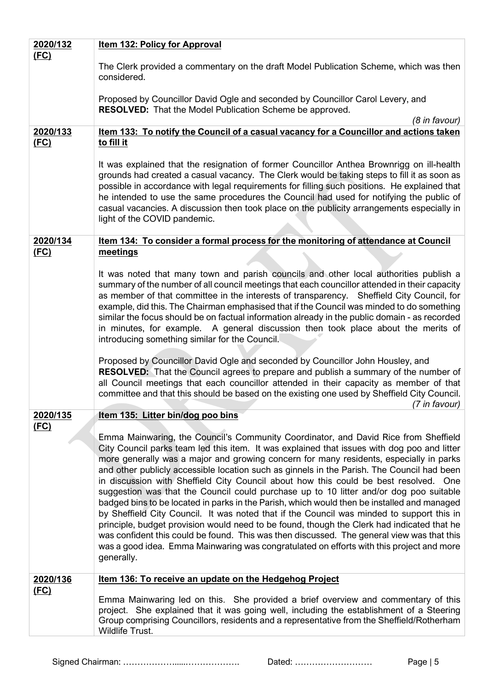| 2020/132         | <b>Item 132: Policy for Approval</b>                                                                                                                                                                                                                                                                                                                                                                                                                                                                                                                                                                                                                                                                                                                                                                                                                                                                                                                                                                                                                           |  |  |  |
|------------------|----------------------------------------------------------------------------------------------------------------------------------------------------------------------------------------------------------------------------------------------------------------------------------------------------------------------------------------------------------------------------------------------------------------------------------------------------------------------------------------------------------------------------------------------------------------------------------------------------------------------------------------------------------------------------------------------------------------------------------------------------------------------------------------------------------------------------------------------------------------------------------------------------------------------------------------------------------------------------------------------------------------------------------------------------------------|--|--|--|
| (FC)             | The Clerk provided a commentary on the draft Model Publication Scheme, which was then<br>considered.                                                                                                                                                                                                                                                                                                                                                                                                                                                                                                                                                                                                                                                                                                                                                                                                                                                                                                                                                           |  |  |  |
|                  | Proposed by Councillor David Ogle and seconded by Councillor Carol Levery, and<br>RESOLVED: That the Model Publication Scheme be approved.<br>(8 in favour)                                                                                                                                                                                                                                                                                                                                                                                                                                                                                                                                                                                                                                                                                                                                                                                                                                                                                                    |  |  |  |
| 2020/133         | Item 133: To notify the Council of a casual vacancy for a Councillor and actions taken                                                                                                                                                                                                                                                                                                                                                                                                                                                                                                                                                                                                                                                                                                                                                                                                                                                                                                                                                                         |  |  |  |
| (FC)             | to fill it                                                                                                                                                                                                                                                                                                                                                                                                                                                                                                                                                                                                                                                                                                                                                                                                                                                                                                                                                                                                                                                     |  |  |  |
|                  | It was explained that the resignation of former Councillor Anthea Brownrigg on ill-health<br>grounds had created a casual vacancy. The Clerk would be taking steps to fill it as soon as<br>possible in accordance with legal requirements for filling such positions. He explained that<br>he intended to use the same procedures the Council had used for notifying the public of<br>casual vacancies. A discussion then took place on the publicity arrangements especially in<br>light of the COVID pandemic.                                                                                                                                                                                                                                                                                                                                                                                                                                                                                                                                              |  |  |  |
| 2020/134<br>(FC) | Item 134: To consider a formal process for the monitoring of attendance at Council<br>meetings                                                                                                                                                                                                                                                                                                                                                                                                                                                                                                                                                                                                                                                                                                                                                                                                                                                                                                                                                                 |  |  |  |
|                  |                                                                                                                                                                                                                                                                                                                                                                                                                                                                                                                                                                                                                                                                                                                                                                                                                                                                                                                                                                                                                                                                |  |  |  |
|                  | It was noted that many town and parish councils and other local authorities publish a<br>summary of the number of all council meetings that each councillor attended in their capacity<br>as member of that committee in the interests of transparency. Sheffield City Council, for<br>example, did this. The Chairman emphasised that if the Council was minded to do something<br>similar the focus should be on factual information already in the public domain - as recorded<br>in minutes, for example. A general discussion then took place about the merits of<br>introducing something similar for the Council.                                                                                                                                                                                                                                                                                                                                                                                                                                       |  |  |  |
|                  | Proposed by Councillor David Ogle and seconded by Councillor John Housley, and<br>RESOLVED: That the Council agrees to prepare and publish a summary of the number of<br>all Council meetings that each councillor attended in their capacity as member of that<br>committee and that this should be based on the existing one used by Sheffield City Council.<br>(7 in favour)                                                                                                                                                                                                                                                                                                                                                                                                                                                                                                                                                                                                                                                                                |  |  |  |
| 2020/135         | Item 135: Litter bin/dog poo bins                                                                                                                                                                                                                                                                                                                                                                                                                                                                                                                                                                                                                                                                                                                                                                                                                                                                                                                                                                                                                              |  |  |  |
| (FC)             | Emma Mainwaring, the Council's Community Coordinator, and David Rice from Sheffield<br>City Council parks team led this item. It was explained that issues with dog poo and litter<br>more generally was a major and growing concern for many residents, especially in parks<br>and other publicly accessible location such as ginnels in the Parish. The Council had been<br>in discussion with Sheffield City Council about how this could be best resolved. One<br>suggestion was that the Council could purchase up to 10 litter and/or dog poo suitable<br>badged bins to be located in parks in the Parish, which would then be installed and managed<br>by Sheffield City Council. It was noted that if the Council was minded to support this in<br>principle, budget provision would need to be found, though the Clerk had indicated that he<br>was confident this could be found. This was then discussed. The general view was that this<br>was a good idea. Emma Mainwaring was congratulated on efforts with this project and more<br>generally. |  |  |  |
| 2020/136         | Item 136: To receive an update on the Hedgehog Project                                                                                                                                                                                                                                                                                                                                                                                                                                                                                                                                                                                                                                                                                                                                                                                                                                                                                                                                                                                                         |  |  |  |
| (FC)             | Emma Mainwaring led on this. She provided a brief overview and commentary of this<br>project. She explained that it was going well, including the establishment of a Steering<br>Group comprising Councillors, residents and a representative from the Sheffield/Rotherham<br>Wildlife Trust.                                                                                                                                                                                                                                                                                                                                                                                                                                                                                                                                                                                                                                                                                                                                                                  |  |  |  |

Signed Chairman: ……………….....………………. Dated: ……………………… Page | 5